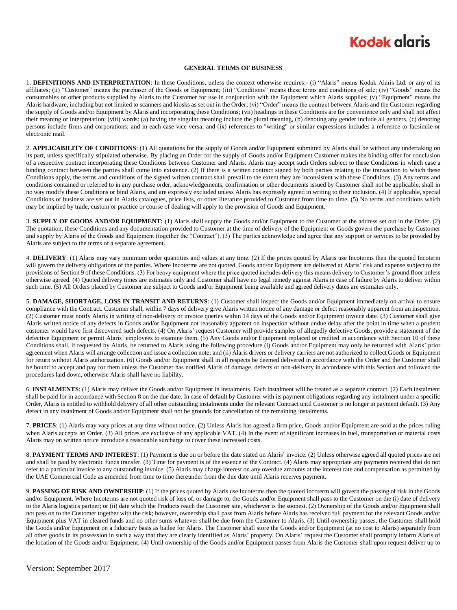## **Kodak glgris**

#### **GENERAL TERMS OF BUSINESS**

1. **DEFINITIONS AND INTERPRETATION**: In these Conditions, unless the context otherwise requires:- (i) "Alaris" means Kodak Alaris Ltd. or any of its affiliates; (ii) "Customer" means the purchaser of the Goods or Equipment; (iii) "Conditions" means these terms and conditions of sale; (iv) "Goods" means the consumables or other products supplied by Alaris to the Customer for use in conjunction with the Equipment which Alaris supplies; (v) "Equipment" means the Alaris hardware, including but not limited to scanners and kiosks as set out in the Order; (vi) "Order" means the contract between Alaris and the Customer regarding the supply of Goods and/or Equipment by Alaris and incorporating these Conditions; (vii) headings in these Conditions are for convenience only and shall not affect their meaning or interpretation; (viii) words: (a) having the singular meaning include the plural meaning, (b) denoting any gender include all genders, (c) denoting persons include firms and corporations; and in each case vice versa; and (ix) references to "writing" or similar expressions includes a reference to facsimile or electronic mail.

2. **APPLICABILITY OF CONDITIONS**: (1) All quotations for the supply of Goods and/or Equipment submitted by Alaris shall be without any undertaking on its part, unless specifically stipulated otherwise. By placing an Order for the supply of Goods and/or Equipment Customer makes the binding offer for conclusion of a respective contract incorporating these Conditions between Customer and Alaris. Alaris may accept such Orders subject to these Conditions in which case a binding contract between the parties shall come into existence. (2) If there is a written contract signed by both parties relating to the transaction to which these Conditions apply, the terms and conditions of the signed written contract shall prevail to the extent they are inconsistent with these Conditions. (3) Any terms and conditions contained or referred to in any purchase order, acknowledgements, confirmation or other documents issued by Customer shall not be applicable, shall in no way modify these Conditions or bind Alaris, and are expressly excluded unless Alaris has expressly agreed in writing to their inclusion. (4) If applicable, special Conditions of business are set out in Alaris catalogues, price lists, or other literature provided to Customer from time to time. (5) No terms and conditions which may be implied by trade, custom or practice or course of dealing will apply to the provision of Goods and Equipment.

3. **SUPPLY OF GOODS AND/OR EQUIPMENT:** (1) Alaris shall supply the Goods and/or Equipment to the Customer at the address set out in the Order. (2) The quotation, these Conditions and any documentation provided to Customer at the time of delivery of the Equipment or Goods govern the purchase by Customer and supply by Alaris of the Goods and Equipment (together the "Contract"). (3) The parties acknowledge and agree that any support or services to be provided by Alaris are subject to the terms of a separate agreement.

4. **DELIVERY**: (1) Alaris may vary minimum order quantities and values at any time. (2) If the prices quoted by Alaris use Incoterms then the quoted Incoterm will govern the delivery obligations of the parties. Where Incoterms are not quoted, Goods and/or Equipment are delivered at Alaris' risk and expense subject to the provisions of Section 9 of these Conditions. (3) For heavy equipment where the price quoted includes delivery this means delivery to Customer's ground floor unless otherwise agreed. (4) Quoted delivery times are estimates only and Customer shall have no legal remedy against Alaris in case of failure by Alaris to deliver within such time. (5) All Orders placed by Customer are subject to Goods and/or Equipment being available and agreed delivery dates are estimates only.

5. **DAMAGE, SHORTAGE, LOSS IN TRANSIT AND RETURNS**: (1) Customer shall inspect the Goods and/or Equipment immediately on arrival to ensure compliance with the Contract. Customer shall, within 7 days of delivery give Alaris written notice of any damage or defect reasonably apparent from an inspection. (2) Customer must notify Alaris in writing of non-delivery or invoice queries within 14 days of the Goods and/or Equipment invoice date. (3) Customer shall give Alaris written notice of any defects in Goods and/or Equipment not reasonably apparent on inspection without undue delay after the point in time when a prudent customer would have first discovered such defects. (4) On Alaris' request Customer will provide samples of allegedly defective Goods, provide a statement of the defective Equipment or permit Alaris' employees to examine them. (5) Any Goods and/or Equipment replaced or credited in accordance with Section 10 of these Conditions shall, if requested by Alaris, be returned to Alaris using the following procedure (i) Goods and/or Equipment may only be returned with Alaris' prior agreement when Alaris will arrange collection and issue a collection note; and (ii) Alaris drivers or delivery carriers are not authorized to collect Goods or Equipment for return without Alaris authorization. (6) Goods and/or Equipment shall in all respects be deemed delivered in accordance with the Order and the Customer shall be bound to accept and pay for them unless the Customer has notified Alaris of damage, defects or non-delivery in accordance with this Section and followed the procedures laid down, otherwise Alaris shall have no liability.

6. **INSTALMENTS**: (1) Alaris may deliver the Goods and/or Equipment in instalments. Each instalment will be treated as a separate contract. (2) Each instalment shall be paid for in accordance with Section 8 on the due date. In case of default by Customer with its payment obligations regarding any instalment under a specific Order, Alaris is entitled to withhold delivery of all other outstanding instalments under the relevant Contract until Customer is no longer in payment default. (3) Any defect in any instalment of Goods and/or Equipment shall not be grounds for cancellation of the remaining instalments.

7. **PRICES**: (1) Alaris may vary prices at any time without notice. (2) Unless Alaris has agreed a firm price, Goods and/or Equipment are sold at the prices ruling when Alaris accepts an Order. (3) All prices are exclusive of any applicable VAT. (4) In the event of significant increases in fuel, transportation or material costs Alaris may on written notice introduce a reasonable surcharge to cover these increased costs.

8. **PAYMENT TERMS AND INTEREST**: (1) Payment is due on or before the date stated on Alaris' invoice. (2) Unless otherwise agreed all quoted prices are net and shall be paid by electronic funds transfer. (3) Time for payment is of the essence of the Contract. (4) Alaris may appropriate any payments received that do not refer to a particular invoice to any outstanding invoice. (5) Alaris may charge interest on any overdue amounts at the interest rate and compensation as permitted by the UAE Commercial Code as amended from time to time thereunder from the due date until Alaris receives payment.

9. **PASSING OF RISK AND OWNERSHIP**: (1) If the prices quoted by Alaris use Incoterms then the quoted Incoterm will govern the passing of risk in the Goods and/or Equipment. Where Incoterms are not quoted risk of loss of, or damage to, the Goods and/or Equipment shall pass to the Customer on the (i) date of delivery to the Alaris logistics partner; or (ii) date which the Products reach the Customer site, whichever is the soonest. (2) Ownership of the Goods and/or Equipment shall not pass on to the Customer together with the risk; however, ownership shall pass from Alaris before Alaris has received full payment for the relevant Goods and/or Equipment plus VAT in cleared funds and no other sums whatever shall be due from the Customer to Alaris. (3) Until ownership passes, the Customer shall hold the Goods and/or Equipment on a fiduciary basis as bailee for Alaris. The Customer shall store the Goods and/or Equipment (at no cost to Alaris) separately from all other goods in its possession in such a way that they are clearly identified as Alaris' property. On Alaris' request the Customer shall promptly inform Alaris of the location of the Goods and/or Equipment. (4) Until ownership of the Goods and/or Equipment passes from Alaris the Customer shall upon request deliver up to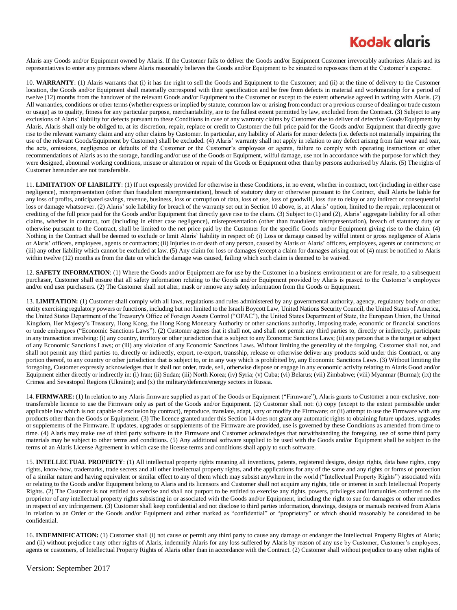### **Kodak alaris**

Alaris any Goods and/or Equipment owned by Alaris. If the Customer fails to deliver the Goods and/or Equipment Customer irrevocably authorizes Alaris and its representatives to enter any premises where Alaris reasonably believes the Goods and/or Equipment to be situated to repossess them at the Customer's expense.

10. **WARRANTY**: (1) Alaris warrants that (i) it has the right to sell the Goods and Equipment to the Customer; and (ii) at the time of delivery to the Customer location, the Goods and/or Equipment shall materially correspond with their specification and be free from defects in material and workmanship for a period of twelve (12) months from the handover of the relevant Goods and/or Equipment to the Customer or except to the extent otherwise agreed in writing with Alaris. (2) All warranties, conditions or other terms (whether express or implied by statute, common law or arising from conduct or a previous course of dealing or trade custom or usage) as to quality, fitness for any particular purpose, merchantability, are to the fullest extent permitted by law, excluded from the Contract. (3) Subject to any exclusions of Alaris' liability for defects pursuant to these Conditions in case of any warranty claims by Customer due to deliver of defective Goods/Equipment by Alaris, Alaris shall only be obliged to, at its discretion, repair, replace or credit to Customer the full price paid for the Goods and/or Equipment that directly gave rise to the relevant warranty claim and any other claims by Customer. In particular, any liability of Alaris for minor defects (i.e. defects not materially impairing the use of the relevant Goods/Equipment by Customer) shall be excluded. (4) Alaris' warranty shall not apply in relation to any defect arising from fair wear and tear, the acts, omissions, negligence or defaults of the Customer or the Customer's employees or agents, failure to comply with operating instructions or other recommendations of Alaris as to the storage, handling and/or use of the Goods or Equipment, wilful damage, use not in accordance with the purpose for which they were designed, abnormal working conditions, misuse or alteration or repair of the Goods or Equipment other than by persons authorised by Alaris. (5) The rights of Customer hereunder are not transferable.

11. **LIMITATION OF LIABILITY**: (1) If not expressly provided for otherwise in these Conditions, in no event, whether in contract, tort (including in either case negligence), misrepresentation (other than fraudulent misrepresentation), breach of statutory duty or otherwise pursuant to the Contract, shall Alaris be liable for any loss of profits, anticipated savings, revenue, business, loss or corruption of data, loss of use, loss of goodwill, loss due to delay or any indirect or consequential loss or damage whatsoever. (2) Alaris' sole liability for breach of the warranty set out in Section 10 above, is, at Alaris' option, limited to the repair, replacement or crediting of the full price paid for the Goods and/or Equipment that directly gave rise to the claim. (3) Subject to (1) and (2), Alaris' aggregate liability for all other claims, whether in contract, tort (including in either case negligence), misrepresentation (other than fraudulent misrepresentation), breach of statutory duty or otherwise pursuant to the Contract, shall be limited to the net price paid by the Customer for the specific Goods and/or Equipment giving rise to the claim. (4) Nothing in the Contract shall be deemed to exclude or limit Alaris' liability in respect of: (i) Loss or damage caused by wilful intent or gross negligence of Alaris or Alaris' officers, employees, agents or contractors; (ii) Injuries to or death of any person, caused by Alaris or Alaris' officers, employees, agents or contractors; or (iii) any other liability which cannot be excluded at law. (5) Any claim for loss or damages (except a claim for damages arising out of (4) must be notified to Alaris within twelve (12) months as from the date on which the damage was caused, failing which such claim is deemed to be waived.

12. **SAFETY INFORMATION**: (1) Where the Goods and/or Equipment are for use by the Customer in a business environment or are for resale, to a subsequent purchaser, Customer shall ensure that all safety information relating to the Goods and/or Equipment provided by Alaris is passed to the Customer's employees and/or end user purchasers. (2) The Customer shall not alter, mask or remove any safety information from the Goods or Equipment.

13. **LIMITATION:** (1) Customer shall comply with all laws, regulations and rules administered by any governmental authority, agency, regulatory body or other entity exercising regulatory powers or functions, including but not limited to the Israeli Boycott Law, United Nations Security Council, the United States of America, the United States Department of the Treasury's Office of Foreign Assets Control ("OFAC"), the United States Department of State, the European Union, the United Kingdom, Her Majesty's Treasury, Hong Kong, the Hong Kong Monetary Authority or other sanctions authority, imposing trade, economic or financial sanctions or trade embargoes ("Economic Sanctions Laws"). (2) Customer agrees that it shall not, and shall not permit any third parties to, directly or indirectly, participate in any transaction involving: (i) any country, territory or other jurisdiction that is subject to any Economic Sanctions Laws; (ii) any person that is the target or subject of any Economic Sanctions Laws; or (iii) any violation of any Economic Sanctions Laws. Without limiting the generality of the forgoing, Customer shall not, and shall not permit any third parties to, directly or indirectly, export, re-export, transship, release or otherwise deliver any products sold under this Contract, or any portion thereof, to any country or other jurisdiction that is subject to, or in any way which is prohibited by, any Economic Sanctions Laws. (3) Without limiting the foregoing, Customer expressly acknowledges that it shall not order, trade, sell, otherwise dispose or engage in any economic activity relating to Alaris Good and/or Equipment either directly or indirectly in: (i) Iran; (ii) Sudan; (iii) North Korea; (iv) Syria; (v) Cuba; (vi) Belarus; (vii) Zimbabwe; (viii) Myanmar (Burma); (ix) the Crimea and Sevastopol Regions (Ukraine); and (x) the military/defence/energy sectors in Russia.

14. **FIRMWARE:** (1) In relation to any Alaris firmware supplied as part of the Goods or Equipment ("Firmware"), Alaris grants to Customer a non-exclusive, nontransferrable licence to use the Firmware only as part of the Goods and/or Equipment. (2) Customer shall not: (i) copy (except to the extent permissible under applicable law which is not capable of exclusion by contract), reproduce, translate, adapt, vary or modify the Firmware; or (ii) attempt to use the Firmware with any products other than the Goods or Equipment. (3) The licence granted under this Section 14 does not grant any automatic rights to obtaining future updates, upgrades or supplements of the Firmware. If updates, upgrades or supplements of the Firmware are provided, use is governed by these Conditions as amended from time to time. (4) Alaris may make use of third party software in the Firmware and Customer acknowledges that notwithstanding the foregoing, use of some third party materials may be subject to other terms and conditions. (5) Any additional software supplied to be used with the Goods and/or Equipment shall be subject to the terms of an Alaris License Agreement in which case the license terms and conditions shall apply to such software.

15. **INTELLECTUAL PROPERTY**: (1) All intellectual property rights meaning all inventions, patents, registered designs, design rights, data base rights, copy rights, know-how, trademarks, trade secrets and all other intellectual property rights, and the applications for any of the same and any rights or forms of protection of a similar nature and having equivalent or similar effect to any of them which may subsist anywhere in the world ("Intellectual Property Rights") associated with or relating to the Goods and/or Equipment belong to Alaris and its licensors and Customer shall not acquire any rights, title or interest in such Intellectual Property Rights. (2) The Customer is not entitled to exercise and shall not purport to be entitled to exercise any rights, powers, privileges and immunities conferred on the proprietor of any intellectual property rights subsisting in or associated with the Goods and/or Equipment, including the right to sue for damages or other remedies in respect of any infringement. (3) Customer shall keep confidential and not disclose to third parties information, drawings, designs or manuals received from Alaris in relation to an Order or the Goods and/or Equipment and either marked as "confidential" or "proprietary" or which should reasonably be considered to be confidential.

16. **INDEMNIFICATION:** (1) Customer shall (i) not cause or permit any third party to cause any damage or endanger the Intellectual Property Rights of Alaris; and (ii) without prejudice t any other rights of Alaris, indemnify Alaris for any loss suffered by Alaris by reason of any use by Customer, Customer's employees, agents or customers, of Intellectual Property Rights of Alaris other than in accordance with the Contract. (2) Customer shall without prejudice to any other rights of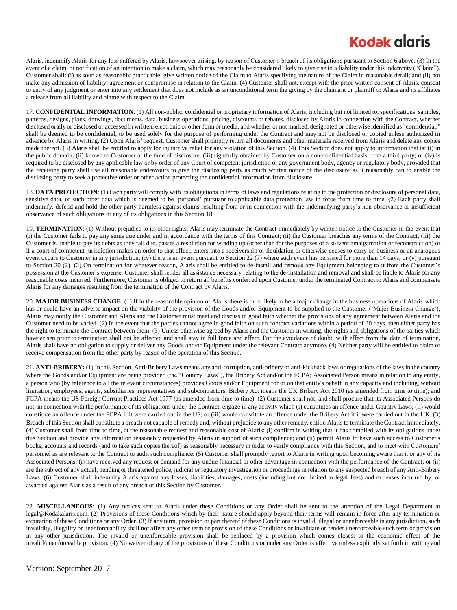## **Kodak glgris**

Alaris, indemnify Alaris for any loss suffered by Alaris, howsoever arising, by reason of Customer's breach of its obligations pursuant to Section 6 above. (3) In the event of a claim, or notification of an intention to make a claim, which may reasonably be considered likely to give rise to a liability under this indemnity ("Claim"), Customer shall: (i) as soon as reasonably practicable, give written notice of the Claim to Alaris specifying the nature of the Claim in reasonable detail; and (ii) not make any admission of liability, agreement or compromise in relation to the Claim. (4) Customer shall not, except with the prior written consent of Alaris, consent to entry of any judgment or enter into any settlement that does not include as an unconditional term the giving by the claimant or plaintiff to Alaris and its affiliates a release from all liability and blame with respect to the Claim.

17. **CONFIDENTIAL INFORMATION.** (1) All non-public, confidential or proprietary information of Alaris, including but not limited to, specifications, samples, patterns, designs, plans, drawings, documents, data, business operations, pricing, discounts or rebates, disclosed by Alaris in connection with the Contract, whether disclosed orally or disclosed or accessed in written, electronic or other form or media, and whether or not marked, designated or otherwise identified as "confidential," shall be deemed to be confidential, to be used solely for the purpose of performing under the Contract and may not be disclosed or copied unless authorized in advance by Alaris in writing. (2) Upon Alaris' request, Customer shall promptly return all documents and other materials received from Alaris and delete any copies made thereof. (3) Alaris shall be entitled to apply for injunctive relief for any violation of this Section. (4) This Section does not apply to information that is: (i) in the public domain; (ii) known to Customer at the time of disclosure; (iii) rightfully obtained by Customer on a non-confidential basis from a third party; or (iv) is required to be disclosed by any applicable law or by order of any Court of competent jurisdiction or any government body, agency or regulatory body, provided that the receiving party shall use all reasonable endeavours to give the disclosing party as much written notice of the disclosure as it reasonably can to enable the disclosing party to seek a protective order or other action protecting the confidential information from disclosure.

18. **DATA PROTECTION**: (1) Each party will comply with its obligations in terms of laws and regulations relating to the protection or disclosure of personal data, sensitive data, or such other data which is deemed to be 'personal' pursuant to applicable data protection law in force from time to time. (2) Each party shall indemnify, defend and hold the other party harmless against claims resulting from or in connection with the indemnifying party's non-observance or insufficient observance of such obligations or any of its obligations in this Section 18.

19. **TERMINATION**: (1) Without prejudice to its other rights, Alaris may terminate the Contract immediately by written notice to the Customer in the event that (i) the Customer fails to pay any sums due under and in accordance with the terms of this Contract; (ii) the Customer breaches any terms of the Contract; (iii) the Customer is unable to pay its debts as they fall due, passes a resolution for winding up (other than for the purposes of a solvent amalgamation or reconstruction) or if a court of competent jurisdiction makes an order to that effect, enters into a receivership or liquidation or otherwise ceases to carry on business or an analogous event occurs to Customer in any jurisdiction; (iv) there is an event pursuant to Section 22 (7) where such event has persisted for more than 14 days; or (v) pursuant to Section 20 (2). (2) On termination for whatever reason, Alaris shall be entitled to de-install and remove any Equipment belonging to it from the Customer's possession at the Customer's expense. Customer shall render all assistance necessary relating to the de-installation and removal and shall be liable to Alaris for any reasonable costs incurred. Furthermore, Customer is obliged to return all benefits conferred upon Customer under the terminated Contract to Alaris and compensate Alaris for any damages resulting from the termination of the Contract by Alaris.

20. **MAJOR BUSINESS CHANGE**: (1) If in the reasonable opinion of Alaris there is or is likely to be a major change in the business operations of Alaris which has or could have an adverse impact on the viability of the provision of the Goods and/or Equipment to be supplied to the Customer ('Major Business Change'), Alaris may notify the Customer and Alaris and the Customer must meet and discuss in good faith whether the provisions of any agreement between Alaris and the Customer need to be varied. (2) In the event that the parties cannot agree in good faith on such contract variations within a period of 30 days, then either party has the right to terminate the Contract between them. (3) Unless otherwise agreed by Alaris and the Customer in writing, the rights and obligations of the parties which have arisen prior to termination shall not be affected and shall stay in full force and effect. For the avoidance of doubt, with effect from the date of termination, Alaris shall have no obligation to supply or deliver any Goods and/or Equipment under the relevant Contract anymore. (4) Neither party will be entitled to claim or receive compensation from the other party by reason of the operation of this Section.

21. **ANTI-BRIBERY:** (1) In this Section, Anti-Bribery Laws means any anti-corruption, anti-bribery or anti-kickback laws or regulations of the laws in the country where the Goods and/or Equipment are being provided (the "Country Laws"), the Bribery Act and/or the FCPA; Associated Person means in relation to any entity, a person who (by reference to all the relevant circumstances) provides Goods and/or Equipment for or on that entity's behalf in any capacity and including, without limitation, employees, agents, subsidiaries, representatives and subcontractors; Bribery Act means the UK Bribery Act 2010 (as amended from time to time); and FCPA means the US Foreign Corrupt Practices Act 1977 (as amended from time to time). (2) Customer shall not, and shall procure that its Associated Persons do not, in connection with the performance of its obligations under the Contract, engage in any activity which (i) constitutes an offence under Country Laws; (ii) would constitute an offence under the FCPA if it were carried out in the US; or (iii) would constitute an offence under the Bribery Act if it were carried out in the UK. (3) Breach of this Section shall constitute a breach not capable of remedy and, without prejudice to any other remedy, entitle Alaris to terminate the Contract immediately. (4) Customer shall from time to time, at the reasonable request and reasonable cost of Alaris: (i) confirm in writing that it has complied with its obligations under this Section and provide any information reasonably requested by Alaris in support of such compliance; and (ii) permit Alaris to have such access to Customer's books, accounts and records (and to take such copies thereof) as reasonably necessary in order to verify compliance with this Section, and to meet with Customers' personnel as are relevant to the Contract to audit such compliance. (5) Customer shall promptly report to Alaris in writing upon becoming aware that it or any of its Associated Persons: (i) have received any request or demand for any undue financial or other advantage in connection with the performance of the Contract; or (ii) are the subject of any actual, pending or threatened police, judicial or regulatory investigation or proceedings in relation to any suspected breach of any Anti-Bribery Laws. (6) Customer shall indemnify Alaris against any losses, liabilities, damages, costs (including but not limited to legal fees) and expenses incurred by, or awarded against Alaris as a result of any breach of this Section by Customer.

22. **MISCELLANEOUS:** (1) Any notices sent to Alaris under these Conditions or any Order shall be sent to the attention of the Legal Department at legal@Kodakalaris.com. (2) Provisions of these Conditions which by their nature should apply beyond their terms will remain in force after any termination or expiration of these Conditions or any Order. (3) If any term, provision or part thereof of these Conditions is invalid, illegal or unenforceable in any jurisdiction, such invalidity, illegality or unenforceability shall not affect any other term or provision of these Conditions or invalidate or render unenforceable such term or provision in any other jurisdiction. The invalid or unenforceable provision shall be replaced by a provision which comes closest to the economic effect of the invalid/unenforceable provision. (4) No waiver of any of the provisions of these Conditions or under any Order is effective unless explicitly set forth in writing and